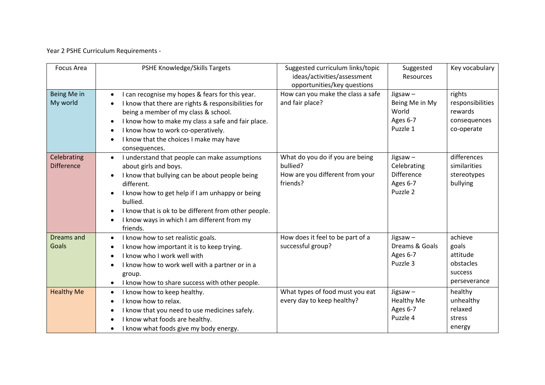Year 2 PSHE Curriculum Requirements -

| <b>Focus Area</b>                | PSHE Knowledge/Skills Targets                                                                                                                                                                                                                                                                                                                                   | Suggested curriculum links/topic<br>ideas/activities/assessment<br>opportunities/key questions | Suggested<br><b>Resources</b>                                   | Key vocabulary                                                       |
|----------------------------------|-----------------------------------------------------------------------------------------------------------------------------------------------------------------------------------------------------------------------------------------------------------------------------------------------------------------------------------------------------------------|------------------------------------------------------------------------------------------------|-----------------------------------------------------------------|----------------------------------------------------------------------|
| Being Me in<br>My world          | I can recognise my hopes & fears for this year.<br>$\bullet$<br>I know that there are rights & responsibilities for<br>$\bullet$<br>being a member of my class & school.<br>I know how to make my class a safe and fair place.<br>I know how to work co-operatively.<br>$\bullet$<br>I know that the choices I make may have<br>$\bullet$<br>consequences.      | How can you make the class a safe<br>and fair place?                                           | Jigsaw-<br>Being Me in My<br>World<br>Ages 6-7<br>Puzzle 1      | rights<br>responsibilities<br>rewards<br>consequences<br>co-operate  |
| Celebrating<br><b>Difference</b> | I understand that people can make assumptions<br>$\bullet$<br>about girls and boys.<br>I know that bullying can be about people being<br>$\bullet$<br>different.<br>I know how to get help if I am unhappy or being<br>bullied.<br>I know that is ok to be different from other people.<br>I know ways in which I am different from my<br>$\bullet$<br>friends. | What do you do if you are being<br>bullied?<br>How are you different from your<br>friends?     | Jigsaw $-$<br>Celebrating<br>Difference<br>Ages 6-7<br>Puzzle 2 | differences<br>similarities<br>stereotypes<br>bullying               |
| <b>Dreams and</b><br>Goals       | I know how to set realistic goals.<br>$\bullet$<br>I know how important it is to keep trying.<br>$\bullet$<br>I know who I work well with<br>$\bullet$<br>I know how to work well with a partner or in a<br>group.<br>I know how to share success with other people.<br>$\bullet$                                                                               | How does it feel to be part of a<br>successful group?                                          | Jigsaw $-$<br>Dreams & Goals<br>Ages 6-7<br>Puzzle 3            | achieve<br>goals<br>attitude<br>obstacles<br>success<br>perseverance |
| <b>Healthy Me</b>                | I know how to keep healthy.<br>$\bullet$<br>I know how to relax.<br>$\bullet$<br>I know that you need to use medicines safely.<br>$\bullet$<br>I know what foods are healthy.<br>I know what foods give my body energy.                                                                                                                                         | What types of food must you eat<br>every day to keep healthy?                                  | Jigsaw $-$<br><b>Healthy Me</b><br>Ages 6-7<br>Puzzle 4         | healthy<br>unhealthy<br>relaxed<br>stress<br>energy                  |